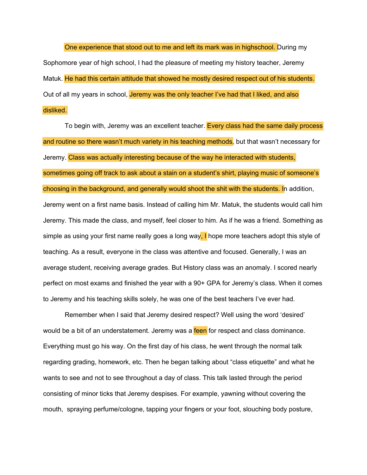One experience that stood out to me and left its mark was in highschool. During my Sophomore year of high school, I had the pleasure of meeting my history teacher, Jeremy Matuk. He had this certain attitude that showed he mostly desired respect out of his students. Out of all my years in school, Jeremy was the only teacher I've had that I liked, and also disliked.

To begin with, Jeremy was an excellent teacher. Every class had the same daily process and routine so there wasn't much variety in his teaching methods, but that wasn't necessary for Jeremy. Class was actually interesting because of the way he interacted with students, sometimes going off track to ask about a stain on a student's shirt, playing music of someone's choosing in the background, and generally would shoot the shit with the students. In addition, Jeremy went on a first name basis. Instead of calling him Mr. Matuk, the students would call him Jeremy. This made the class, and myself, feel closer to him. As if he was a friend. Something as simple as using your first name really goes a long way, I hope more teachers adopt this style of teaching. As a result, everyone in the class was attentive and focused. Generally, I was an average student, receiving average grades. But History class was an anomaly. I scored nearly perfect on most exams and finished the year with a 90+ GPA for Jeremy's class. When it comes to Jeremy and his teaching skills solely, he was one of the best teachers I've ever had.

Remember when I said that Jeremy desired respect? Well using the word 'desired' would be a bit of an understatement. Jeremy was a feen for respect and class dominance. Everything must go his way. On the first day of his class, he went through the normal talk regarding grading, homework, etc. Then he began talking about "class etiquette" and what he wants to see and not to see throughout a day of class. This talk lasted through the period consisting of minor ticks that Jeremy despises. For example, yawning without covering the mouth, spraying perfume/cologne, tapping your fingers or your foot, slouching body posture,